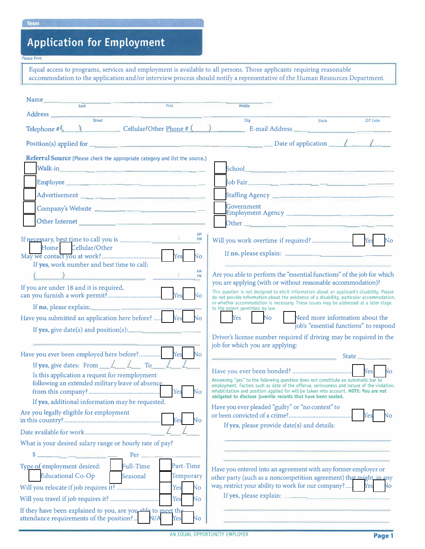# **Application for Employm,ent**

#### **Please Print**

Equal access to programs, services and employment is available to all persons. Those applicants requiring reasonable accommodation to the application and/or interview process should notify a representative of the Human Resources Department.

| Address ___<br>Street<br>City<br>State<br><b>ZIP Code</b><br>Telephone $\#$ ( $\qquad$ ), Cellular/Other Phone $\#$ ( $\qquad$ ) E-mail Address $\qquad$<br>Referral Source (Please check the appropriate category and list the source.)<br>Walk-in $\qquad \qquad$<br>Tob Fair ______ __ __ __ __ __ __ __ __ __ __<br>Advertisement ___ __ __ __ ___ __________________<br><b>Government</b><br>Company's Website ____________________________<br>Other Internet<br>AM<br>PM<br>Home Cellular/Other<br>If no, please explain: $\frac{1}{2}$ = $\frac{1}{2}$ = $\frac{1}{2}$ = $\frac{1}{2}$ = $\frac{1}{2}$ = $\frac{1}{2}$ = $\frac{1}{2}$ = $\frac{1}{2}$ = $\frac{1}{2}$ = $\frac{1}{2}$ = $\frac{1}{2}$ = $\frac{1}{2}$ = $\frac{1}{2}$ = $\frac{1}{2}$ = $\frac{1}{2}$ = $\frac{1}{2}$ = $\frac{1}{$<br>$\overline{N}$<br>If yes, work number and best time to call:<br>AM<br>Are you able to perform the "essential functions" of the job for which<br>PM<br>you are applying (with or without reasonable accommodation)?<br>If you are under 18 and it is required,<br>This question is not designed to elicit information about an applicant's disability. Please<br>do not provide information about the existence of a disability, particular accommodation,<br>or whether accommodation is necessary. These issues may be addressed at a later stage<br>to the extent permitted by law.<br>Yes No<br>Have you submitted an application here before?  Yes<br>Need more information about the<br>N <sub>o</sub><br>job's "essential functions" to respond<br>If yes, give date(s) and position(s):<br>Driver's license number required if driving may be required in the<br>job for which you are applying:<br>Have you ever been employed here before? Yes No<br>the contract of the contract of the contract of the con-<br>If yes, give dates: From $\angle\angle\angle\angle\ \text{To}$<br>Is this application a request for reemployment<br>Answering "yes" to the following question does not constitute an automatic bar to<br>following an extended military leave of absence<br>employment. Factors such as date of the offense, seriousness and nature of the violation,<br>Yes<br>No<br>rehabilitation and position applied for will be taken into account. NOTE: You are not<br>obligated to disclose juvenile records that have been sealed.<br>If yes, additional information may be requested.<br>Have you ever pleaded "guilty" or "no contest" to<br>Are you legally eligible for employment<br>No<br>If yes, please provide date(s) and details:<br>What is your desired salary range or hourly rate of pay?<br>s.<br>Per<br>Type of employment desired:<br><b>Full-Time</b><br>Part-Time<br>Have you entered into an agreement with any former employer or<br><b>Educational Co-Op</b><br>Seasonal<br>Temporary<br>other party (such as a noncompetition agreement) that might, in any<br>way, restrict your ability to work for our company?<br>Yes<br>Yes<br>No<br>If yes, please explain:<br>Yes<br>No | Name | First | <b>Middle</b> |                |
|------------------------------------------------------------------------------------------------------------------------------------------------------------------------------------------------------------------------------------------------------------------------------------------------------------------------------------------------------------------------------------------------------------------------------------------------------------------------------------------------------------------------------------------------------------------------------------------------------------------------------------------------------------------------------------------------------------------------------------------------------------------------------------------------------------------------------------------------------------------------------------------------------------------------------------------------------------------------------------------------------------------------------------------------------------------------------------------------------------------------------------------------------------------------------------------------------------------------------------------------------------------------------------------------------------------------------------------------------------------------------------------------------------------------------------------------------------------------------------------------------------------------------------------------------------------------------------------------------------------------------------------------------------------------------------------------------------------------------------------------------------------------------------------------------------------------------------------------------------------------------------------------------------------------------------------------------------------------------------------------------------------------------------------------------------------------------------------------------------------------------------------------------------------------------------------------------------------------------------------------------------------------------------------------------------------------------------------------------------------------------------------------------------------------------------------------------------------------------------------------------------------------------------------------------------------------------------------------------------------------------------------------------------------------------------------------------------------------------------------------------------------------------------------------------------------------------------------------------------------------------------------------------------------------------------------------------------------------------------------------------------------------------------------|------|-------|---------------|----------------|
|                                                                                                                                                                                                                                                                                                                                                                                                                                                                                                                                                                                                                                                                                                                                                                                                                                                                                                                                                                                                                                                                                                                                                                                                                                                                                                                                                                                                                                                                                                                                                                                                                                                                                                                                                                                                                                                                                                                                                                                                                                                                                                                                                                                                                                                                                                                                                                                                                                                                                                                                                                                                                                                                                                                                                                                                                                                                                                                                                                                                                                          |      |       |               |                |
|                                                                                                                                                                                                                                                                                                                                                                                                                                                                                                                                                                                                                                                                                                                                                                                                                                                                                                                                                                                                                                                                                                                                                                                                                                                                                                                                                                                                                                                                                                                                                                                                                                                                                                                                                                                                                                                                                                                                                                                                                                                                                                                                                                                                                                                                                                                                                                                                                                                                                                                                                                                                                                                                                                                                                                                                                                                                                                                                                                                                                                          |      |       |               |                |
|                                                                                                                                                                                                                                                                                                                                                                                                                                                                                                                                                                                                                                                                                                                                                                                                                                                                                                                                                                                                                                                                                                                                                                                                                                                                                                                                                                                                                                                                                                                                                                                                                                                                                                                                                                                                                                                                                                                                                                                                                                                                                                                                                                                                                                                                                                                                                                                                                                                                                                                                                                                                                                                                                                                                                                                                                                                                                                                                                                                                                                          |      |       |               |                |
|                                                                                                                                                                                                                                                                                                                                                                                                                                                                                                                                                                                                                                                                                                                                                                                                                                                                                                                                                                                                                                                                                                                                                                                                                                                                                                                                                                                                                                                                                                                                                                                                                                                                                                                                                                                                                                                                                                                                                                                                                                                                                                                                                                                                                                                                                                                                                                                                                                                                                                                                                                                                                                                                                                                                                                                                                                                                                                                                                                                                                                          |      |       |               |                |
|                                                                                                                                                                                                                                                                                                                                                                                                                                                                                                                                                                                                                                                                                                                                                                                                                                                                                                                                                                                                                                                                                                                                                                                                                                                                                                                                                                                                                                                                                                                                                                                                                                                                                                                                                                                                                                                                                                                                                                                                                                                                                                                                                                                                                                                                                                                                                                                                                                                                                                                                                                                                                                                                                                                                                                                                                                                                                                                                                                                                                                          |      |       |               |                |
|                                                                                                                                                                                                                                                                                                                                                                                                                                                                                                                                                                                                                                                                                                                                                                                                                                                                                                                                                                                                                                                                                                                                                                                                                                                                                                                                                                                                                                                                                                                                                                                                                                                                                                                                                                                                                                                                                                                                                                                                                                                                                                                                                                                                                                                                                                                                                                                                                                                                                                                                                                                                                                                                                                                                                                                                                                                                                                                                                                                                                                          |      |       |               |                |
|                                                                                                                                                                                                                                                                                                                                                                                                                                                                                                                                                                                                                                                                                                                                                                                                                                                                                                                                                                                                                                                                                                                                                                                                                                                                                                                                                                                                                                                                                                                                                                                                                                                                                                                                                                                                                                                                                                                                                                                                                                                                                                                                                                                                                                                                                                                                                                                                                                                                                                                                                                                                                                                                                                                                                                                                                                                                                                                                                                                                                                          |      |       |               |                |
|                                                                                                                                                                                                                                                                                                                                                                                                                                                                                                                                                                                                                                                                                                                                                                                                                                                                                                                                                                                                                                                                                                                                                                                                                                                                                                                                                                                                                                                                                                                                                                                                                                                                                                                                                                                                                                                                                                                                                                                                                                                                                                                                                                                                                                                                                                                                                                                                                                                                                                                                                                                                                                                                                                                                                                                                                                                                                                                                                                                                                                          |      |       |               |                |
|                                                                                                                                                                                                                                                                                                                                                                                                                                                                                                                                                                                                                                                                                                                                                                                                                                                                                                                                                                                                                                                                                                                                                                                                                                                                                                                                                                                                                                                                                                                                                                                                                                                                                                                                                                                                                                                                                                                                                                                                                                                                                                                                                                                                                                                                                                                                                                                                                                                                                                                                                                                                                                                                                                                                                                                                                                                                                                                                                                                                                                          |      |       |               |                |
|                                                                                                                                                                                                                                                                                                                                                                                                                                                                                                                                                                                                                                                                                                                                                                                                                                                                                                                                                                                                                                                                                                                                                                                                                                                                                                                                                                                                                                                                                                                                                                                                                                                                                                                                                                                                                                                                                                                                                                                                                                                                                                                                                                                                                                                                                                                                                                                                                                                                                                                                                                                                                                                                                                                                                                                                                                                                                                                                                                                                                                          |      |       |               |                |
|                                                                                                                                                                                                                                                                                                                                                                                                                                                                                                                                                                                                                                                                                                                                                                                                                                                                                                                                                                                                                                                                                                                                                                                                                                                                                                                                                                                                                                                                                                                                                                                                                                                                                                                                                                                                                                                                                                                                                                                                                                                                                                                                                                                                                                                                                                                                                                                                                                                                                                                                                                                                                                                                                                                                                                                                                                                                                                                                                                                                                                          |      |       |               | <b>No</b>      |
|                                                                                                                                                                                                                                                                                                                                                                                                                                                                                                                                                                                                                                                                                                                                                                                                                                                                                                                                                                                                                                                                                                                                                                                                                                                                                                                                                                                                                                                                                                                                                                                                                                                                                                                                                                                                                                                                                                                                                                                                                                                                                                                                                                                                                                                                                                                                                                                                                                                                                                                                                                                                                                                                                                                                                                                                                                                                                                                                                                                                                                          |      |       |               |                |
|                                                                                                                                                                                                                                                                                                                                                                                                                                                                                                                                                                                                                                                                                                                                                                                                                                                                                                                                                                                                                                                                                                                                                                                                                                                                                                                                                                                                                                                                                                                                                                                                                                                                                                                                                                                                                                                                                                                                                                                                                                                                                                                                                                                                                                                                                                                                                                                                                                                                                                                                                                                                                                                                                                                                                                                                                                                                                                                                                                                                                                          |      |       |               |                |
|                                                                                                                                                                                                                                                                                                                                                                                                                                                                                                                                                                                                                                                                                                                                                                                                                                                                                                                                                                                                                                                                                                                                                                                                                                                                                                                                                                                                                                                                                                                                                                                                                                                                                                                                                                                                                                                                                                                                                                                                                                                                                                                                                                                                                                                                                                                                                                                                                                                                                                                                                                                                                                                                                                                                                                                                                                                                                                                                                                                                                                          |      |       |               |                |
|                                                                                                                                                                                                                                                                                                                                                                                                                                                                                                                                                                                                                                                                                                                                                                                                                                                                                                                                                                                                                                                                                                                                                                                                                                                                                                                                                                                                                                                                                                                                                                                                                                                                                                                                                                                                                                                                                                                                                                                                                                                                                                                                                                                                                                                                                                                                                                                                                                                                                                                                                                                                                                                                                                                                                                                                                                                                                                                                                                                                                                          |      |       |               |                |
|                                                                                                                                                                                                                                                                                                                                                                                                                                                                                                                                                                                                                                                                                                                                                                                                                                                                                                                                                                                                                                                                                                                                                                                                                                                                                                                                                                                                                                                                                                                                                                                                                                                                                                                                                                                                                                                                                                                                                                                                                                                                                                                                                                                                                                                                                                                                                                                                                                                                                                                                                                                                                                                                                                                                                                                                                                                                                                                                                                                                                                          |      |       |               |                |
|                                                                                                                                                                                                                                                                                                                                                                                                                                                                                                                                                                                                                                                                                                                                                                                                                                                                                                                                                                                                                                                                                                                                                                                                                                                                                                                                                                                                                                                                                                                                                                                                                                                                                                                                                                                                                                                                                                                                                                                                                                                                                                                                                                                                                                                                                                                                                                                                                                                                                                                                                                                                                                                                                                                                                                                                                                                                                                                                                                                                                                          |      |       |               |                |
|                                                                                                                                                                                                                                                                                                                                                                                                                                                                                                                                                                                                                                                                                                                                                                                                                                                                                                                                                                                                                                                                                                                                                                                                                                                                                                                                                                                                                                                                                                                                                                                                                                                                                                                                                                                                                                                                                                                                                                                                                                                                                                                                                                                                                                                                                                                                                                                                                                                                                                                                                                                                                                                                                                                                                                                                                                                                                                                                                                                                                                          |      |       |               |                |
|                                                                                                                                                                                                                                                                                                                                                                                                                                                                                                                                                                                                                                                                                                                                                                                                                                                                                                                                                                                                                                                                                                                                                                                                                                                                                                                                                                                                                                                                                                                                                                                                                                                                                                                                                                                                                                                                                                                                                                                                                                                                                                                                                                                                                                                                                                                                                                                                                                                                                                                                                                                                                                                                                                                                                                                                                                                                                                                                                                                                                                          |      |       |               |                |
|                                                                                                                                                                                                                                                                                                                                                                                                                                                                                                                                                                                                                                                                                                                                                                                                                                                                                                                                                                                                                                                                                                                                                                                                                                                                                                                                                                                                                                                                                                                                                                                                                                                                                                                                                                                                                                                                                                                                                                                                                                                                                                                                                                                                                                                                                                                                                                                                                                                                                                                                                                                                                                                                                                                                                                                                                                                                                                                                                                                                                                          |      |       |               |                |
|                                                                                                                                                                                                                                                                                                                                                                                                                                                                                                                                                                                                                                                                                                                                                                                                                                                                                                                                                                                                                                                                                                                                                                                                                                                                                                                                                                                                                                                                                                                                                                                                                                                                                                                                                                                                                                                                                                                                                                                                                                                                                                                                                                                                                                                                                                                                                                                                                                                                                                                                                                                                                                                                                                                                                                                                                                                                                                                                                                                                                                          |      |       |               |                |
|                                                                                                                                                                                                                                                                                                                                                                                                                                                                                                                                                                                                                                                                                                                                                                                                                                                                                                                                                                                                                                                                                                                                                                                                                                                                                                                                                                                                                                                                                                                                                                                                                                                                                                                                                                                                                                                                                                                                                                                                                                                                                                                                                                                                                                                                                                                                                                                                                                                                                                                                                                                                                                                                                                                                                                                                                                                                                                                                                                                                                                          |      |       |               | $\sqrt{2}$     |
|                                                                                                                                                                                                                                                                                                                                                                                                                                                                                                                                                                                                                                                                                                                                                                                                                                                                                                                                                                                                                                                                                                                                                                                                                                                                                                                                                                                                                                                                                                                                                                                                                                                                                                                                                                                                                                                                                                                                                                                                                                                                                                                                                                                                                                                                                                                                                                                                                                                                                                                                                                                                                                                                                                                                                                                                                                                                                                                                                                                                                                          |      |       |               |                |
|                                                                                                                                                                                                                                                                                                                                                                                                                                                                                                                                                                                                                                                                                                                                                                                                                                                                                                                                                                                                                                                                                                                                                                                                                                                                                                                                                                                                                                                                                                                                                                                                                                                                                                                                                                                                                                                                                                                                                                                                                                                                                                                                                                                                                                                                                                                                                                                                                                                                                                                                                                                                                                                                                                                                                                                                                                                                                                                                                                                                                                          |      |       |               |                |
|                                                                                                                                                                                                                                                                                                                                                                                                                                                                                                                                                                                                                                                                                                                                                                                                                                                                                                                                                                                                                                                                                                                                                                                                                                                                                                                                                                                                                                                                                                                                                                                                                                                                                                                                                                                                                                                                                                                                                                                                                                                                                                                                                                                                                                                                                                                                                                                                                                                                                                                                                                                                                                                                                                                                                                                                                                                                                                                                                                                                                                          |      |       |               |                |
|                                                                                                                                                                                                                                                                                                                                                                                                                                                                                                                                                                                                                                                                                                                                                                                                                                                                                                                                                                                                                                                                                                                                                                                                                                                                                                                                                                                                                                                                                                                                                                                                                                                                                                                                                                                                                                                                                                                                                                                                                                                                                                                                                                                                                                                                                                                                                                                                                                                                                                                                                                                                                                                                                                                                                                                                                                                                                                                                                                                                                                          |      |       |               |                |
|                                                                                                                                                                                                                                                                                                                                                                                                                                                                                                                                                                                                                                                                                                                                                                                                                                                                                                                                                                                                                                                                                                                                                                                                                                                                                                                                                                                                                                                                                                                                                                                                                                                                                                                                                                                                                                                                                                                                                                                                                                                                                                                                                                                                                                                                                                                                                                                                                                                                                                                                                                                                                                                                                                                                                                                                                                                                                                                                                                                                                                          |      |       |               |                |
|                                                                                                                                                                                                                                                                                                                                                                                                                                                                                                                                                                                                                                                                                                                                                                                                                                                                                                                                                                                                                                                                                                                                                                                                                                                                                                                                                                                                                                                                                                                                                                                                                                                                                                                                                                                                                                                                                                                                                                                                                                                                                                                                                                                                                                                                                                                                                                                                                                                                                                                                                                                                                                                                                                                                                                                                                                                                                                                                                                                                                                          |      |       |               |                |
|                                                                                                                                                                                                                                                                                                                                                                                                                                                                                                                                                                                                                                                                                                                                                                                                                                                                                                                                                                                                                                                                                                                                                                                                                                                                                                                                                                                                                                                                                                                                                                                                                                                                                                                                                                                                                                                                                                                                                                                                                                                                                                                                                                                                                                                                                                                                                                                                                                                                                                                                                                                                                                                                                                                                                                                                                                                                                                                                                                                                                                          |      |       |               |                |
|                                                                                                                                                                                                                                                                                                                                                                                                                                                                                                                                                                                                                                                                                                                                                                                                                                                                                                                                                                                                                                                                                                                                                                                                                                                                                                                                                                                                                                                                                                                                                                                                                                                                                                                                                                                                                                                                                                                                                                                                                                                                                                                                                                                                                                                                                                                                                                                                                                                                                                                                                                                                                                                                                                                                                                                                                                                                                                                                                                                                                                          |      |       |               |                |
|                                                                                                                                                                                                                                                                                                                                                                                                                                                                                                                                                                                                                                                                                                                                                                                                                                                                                                                                                                                                                                                                                                                                                                                                                                                                                                                                                                                                                                                                                                                                                                                                                                                                                                                                                                                                                                                                                                                                                                                                                                                                                                                                                                                                                                                                                                                                                                                                                                                                                                                                                                                                                                                                                                                                                                                                                                                                                                                                                                                                                                          |      |       |               |                |
|                                                                                                                                                                                                                                                                                                                                                                                                                                                                                                                                                                                                                                                                                                                                                                                                                                                                                                                                                                                                                                                                                                                                                                                                                                                                                                                                                                                                                                                                                                                                                                                                                                                                                                                                                                                                                                                                                                                                                                                                                                                                                                                                                                                                                                                                                                                                                                                                                                                                                                                                                                                                                                                                                                                                                                                                                                                                                                                                                                                                                                          |      |       |               | N <sub>o</sub> |
|                                                                                                                                                                                                                                                                                                                                                                                                                                                                                                                                                                                                                                                                                                                                                                                                                                                                                                                                                                                                                                                                                                                                                                                                                                                                                                                                                                                                                                                                                                                                                                                                                                                                                                                                                                                                                                                                                                                                                                                                                                                                                                                                                                                                                                                                                                                                                                                                                                                                                                                                                                                                                                                                                                                                                                                                                                                                                                                                                                                                                                          |      |       |               |                |
|                                                                                                                                                                                                                                                                                                                                                                                                                                                                                                                                                                                                                                                                                                                                                                                                                                                                                                                                                                                                                                                                                                                                                                                                                                                                                                                                                                                                                                                                                                                                                                                                                                                                                                                                                                                                                                                                                                                                                                                                                                                                                                                                                                                                                                                                                                                                                                                                                                                                                                                                                                                                                                                                                                                                                                                                                                                                                                                                                                                                                                          |      |       |               |                |
| If they have been explained to you, are you able to meet the<br>attendance requirements of the position?<br>N/A<br>N٥<br>Yes                                                                                                                                                                                                                                                                                                                                                                                                                                                                                                                                                                                                                                                                                                                                                                                                                                                                                                                                                                                                                                                                                                                                                                                                                                                                                                                                                                                                                                                                                                                                                                                                                                                                                                                                                                                                                                                                                                                                                                                                                                                                                                                                                                                                                                                                                                                                                                                                                                                                                                                                                                                                                                                                                                                                                                                                                                                                                                             |      |       |               |                |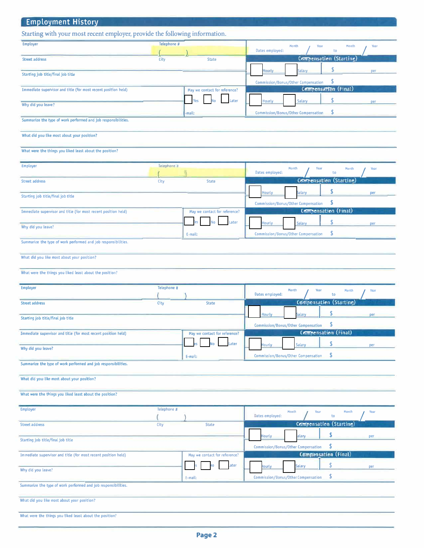| <b>Employment History</b>                                                   |             |                               |                                                                                           |
|-----------------------------------------------------------------------------|-------------|-------------------------------|-------------------------------------------------------------------------------------------|
| Starting with your most recent employer, provide the following information. |             |                               |                                                                                           |
| Employer                                                                    | Telephone # |                               | Month<br>Year<br>Month<br>Year<br>Dates employed:<br>to                                   |
| <b>Street address</b>                                                       | City        | <b>State</b>                  | Compensation (Starting)                                                                   |
| Starting job title/final job title                                          |             |                               | <b>Salary</b><br><b>lourly</b><br>per                                                     |
| Immediate supervisor and title (for most recent position held)              |             | May we contact for reference? | Commission/Bonus/Other Compensation<br>Compensation (Final)                               |
|                                                                             |             | Later                         | ¢<br><b>Hourly</b><br><b>Salary</b>                                                       |
| Why did you leave?                                                          |             | -mail:                        | \$<br><b>Commission/Bonus/Other Compensation</b>                                          |
| Summarize the type of work performed and job responsibilities.              |             |                               |                                                                                           |
| What did you like most about your position?                                 |             |                               |                                                                                           |
| What were the things you liked least about the position?                    |             |                               |                                                                                           |
| <b>Employer</b>                                                             | Telephone # |                               | Year<br>Month<br>Month<br>Year                                                            |
| <b>Street address</b>                                                       | City        | <b>State</b>                  | Dates employed:<br>to<br>Compensation (Starting)                                          |
|                                                                             |             |                               | S<br><b>Hourly</b><br><b>ialary</b><br><b>Der</b>                                         |
| Starting job title/final job title                                          |             |                               | \$<br><b>Commission/Bonus/Other Compensation</b>                                          |
| Immediate supervisor and title (for most recent position held)              |             | May we contact for reference? | Compensation (Final)                                                                      |
| Why did you leave?                                                          |             | No<br>.ater                   | lourly<br><b>Salary</b><br>\$                                                             |
| Summarize the type of work performed and job responsibilities.              |             | E-mail:                       | <b>Commission/Bonus/Other Compensation</b>                                                |
| What did you like most about your position?                                 |             |                               |                                                                                           |
| What were the things you liked least about the position?                    |             |                               |                                                                                           |
|                                                                             |             |                               |                                                                                           |
| <b>Employer</b>                                                             | Telephone # |                               | Month<br>Year<br>Month<br>Year<br>Dates employed:<br>to                                   |
| <b>Street address</b>                                                       | City        | <b>State</b>                  | Commensation (Starting)                                                                   |
| Starting job title/final job title                                          |             |                               | <b>Hourly</b><br><b>Salary</b><br>per<br>\$<br><b>Commission/Bonus/Other Compensation</b> |
| Immediate supervisor and title (for most recent position held)              |             | May we contact for reference? | Compensation (Final)                                                                      |
| Why did you leave?                                                          |             | Later                         | \$<br><b>Hourly</b><br><b>Salary</b><br>per                                               |
| Summarize the type of work performed and job responsibilities.              |             | E-mail:                       | \$<br>Commission/Bonus/Other Compensation                                                 |
|                                                                             |             |                               |                                                                                           |
| What did you like most about your position?                                 |             |                               |                                                                                           |
| What were the things you liked least about the position?                    |             |                               |                                                                                           |
| <b>Employer</b>                                                             | Telephone # |                               | Month<br>Year<br>Month<br>Year<br>Dates employed:<br>to                                   |
| <b>Street address</b>                                                       | City        | <b>State</b>                  | Compensation (Starting)                                                                   |
| Starting job title/final job title                                          |             |                               | \$<br><b>Hourly</b><br>alary<br>per                                                       |
|                                                                             |             | May we contact for reference? | \$<br>Commission/Bonus/Other Compensation<br>Compansation (Final)                         |
| Immediate supervisor and title (for most recent position held)              |             | ater                          | \$<br><b>lourly</b><br>Salary<br>per                                                      |
| Why did you leave?                                                          |             | E-mail:                       | \$<br><b>Commission/Bonus/Other Compensation</b>                                          |
| Summarize the type of work performed and job responsibilities.              |             |                               |                                                                                           |
| What did you like most about your position?                                 |             |                               |                                                                                           |
| What were the things you liked least about the position?                    |             |                               |                                                                                           |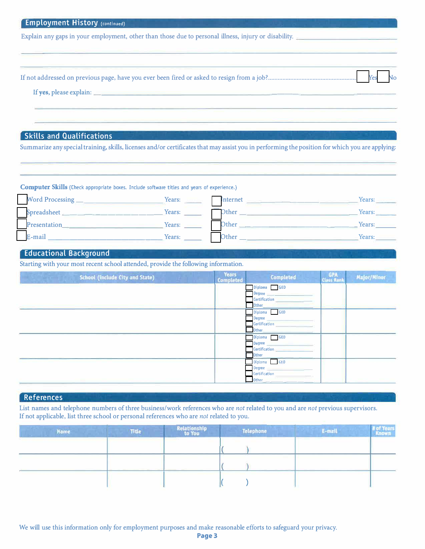| <b>Employment History (continued)</b>                                                                                                                                                                                          |                                  |                                                                                                                                                                                                                                      |                   |                    |
|--------------------------------------------------------------------------------------------------------------------------------------------------------------------------------------------------------------------------------|----------------------------------|--------------------------------------------------------------------------------------------------------------------------------------------------------------------------------------------------------------------------------------|-------------------|--------------------|
| Explain any gaps in your employment, other than those due to personal illness, injury or disability.                                                                                                                           |                                  |                                                                                                                                                                                                                                      |                   |                    |
|                                                                                                                                                                                                                                |                                  |                                                                                                                                                                                                                                      |                   |                    |
|                                                                                                                                                                                                                                |                                  |                                                                                                                                                                                                                                      |                   |                    |
| If yes, please explain: <u>contract the contract of the contract of the contract of the contract of the contract of</u>                                                                                                        |                                  |                                                                                                                                                                                                                                      |                   |                    |
|                                                                                                                                                                                                                                |                                  |                                                                                                                                                                                                                                      |                   |                    |
| <b>Skills and Qualifications</b>                                                                                                                                                                                               |                                  |                                                                                                                                                                                                                                      |                   |                    |
| Summarize any special training, skills, licenses and/or certificates that may assist you in performing the position for which you are applying:                                                                                |                                  |                                                                                                                                                                                                                                      |                   |                    |
|                                                                                                                                                                                                                                |                                  |                                                                                                                                                                                                                                      |                   |                    |
|                                                                                                                                                                                                                                |                                  |                                                                                                                                                                                                                                      |                   |                    |
| <b>Computer Skills (Check appropriate boxes. Include software titles and years of experience.)</b>                                                                                                                             |                                  |                                                                                                                                                                                                                                      |                   |                    |
|                                                                                                                                                                                                                                |                                  | Internet <b>Executive Contract Contract Contract Contract Contract Contract Contract Contract Contract Contract Contract Contract Contract Contract Contract Contract Contract Contract Contract Contract Contract Contract Cont</b> |                   | Years:<br>Years:   |
| Presentation Nearly Nearly Nearly Nearly Nearly Nearly Nearly Nearly Nearly Nearly Nearly Nearly Nearly Nearly Nearly Nearly Nearly Nearly Nearly Nearly Nearly Nearly Nearly Nearly Nearly Nearly Nearly Nearly Nearly Nearly |                                  |                                                                                                                                                                                                                                      |                   |                    |
| E-mail <u>Container and Teams and Teams:</u> Teams: 2007                                                                                                                                                                       |                                  | Other <b>Community of the Community of the Community</b>                                                                                                                                                                             |                   | $=$ Years:         |
| <b>Educational Background</b>                                                                                                                                                                                                  |                                  |                                                                                                                                                                                                                                      |                   |                    |
| Starting with your most recent school attended, provide the following information.                                                                                                                                             |                                  |                                                                                                                                                                                                                                      |                   |                    |
| <b>School (include City and State)</b>                                                                                                                                                                                         | <b>Years</b><br><b>Completed</b> | Completed                                                                                                                                                                                                                            | GPA<br>Class Rank | <b>Major/Minor</b> |
|                                                                                                                                                                                                                                |                                  | Diploma GED<br><b>Degree</b>                                                                                                                                                                                                         |                   |                    |
|                                                                                                                                                                                                                                |                                  | <b>Certification</b><br>Other                                                                                                                                                                                                        |                   |                    |
|                                                                                                                                                                                                                                |                                  |                                                                                                                                                                                                                                      |                   |                    |
|                                                                                                                                                                                                                                |                                  | Diploma GED<br><b>Degree</b>                                                                                                                                                                                                         |                   |                    |
|                                                                                                                                                                                                                                |                                  | Certification<br><b>Other</b>                                                                                                                                                                                                        |                   |                    |
|                                                                                                                                                                                                                                |                                  | Diploma GED<br><b>Degree</b>                                                                                                                                                                                                         |                   |                    |

## **References**

**List names and telephone numbers of three business/work references who are** *not* **related to you and are** *not* **previous supervisors. If not applicable, list three school or personal references who are** *not* **related to you.** 

Diploma GED Diploma<br>Degree<br>Certificat<br>Other □Certification \_\_\_\_\_ □ Other \_\_\_ \_

| <b>Name</b> | Title                                                                                                                                                                                                                                                                                                                                                                                                                                                                                | <b>Relationship</b><br>to You | Telanhone                         |  |
|-------------|--------------------------------------------------------------------------------------------------------------------------------------------------------------------------------------------------------------------------------------------------------------------------------------------------------------------------------------------------------------------------------------------------------------------------------------------------------------------------------------|-------------------------------|-----------------------------------|--|
|             |                                                                                                                                                                                                                                                                                                                                                                                                                                                                                      | _____                         | and the control of the control of |  |
|             |                                                                                                                                                                                                                                                                                                                                                                                                                                                                                      |                               |                                   |  |
|             | $\frac{1}{2} \left( \frac{1}{2} \right) \left( \frac{1}{2} \right) \left( \frac{1}{2} \right) \left( \frac{1}{2} \right) \left( \frac{1}{2} \right) \left( \frac{1}{2} \right) \left( \frac{1}{2} \right) \left( \frac{1}{2} \right) \left( \frac{1}{2} \right) \left( \frac{1}{2} \right) \left( \frac{1}{2} \right) \left( \frac{1}{2} \right) \left( \frac{1}{2} \right) \left( \frac{1}{2} \right) \left( \frac{1}{2} \right) \left( \frac{1}{2} \right) \left( \frac$<br>$\sim$ |                               |                                   |  |